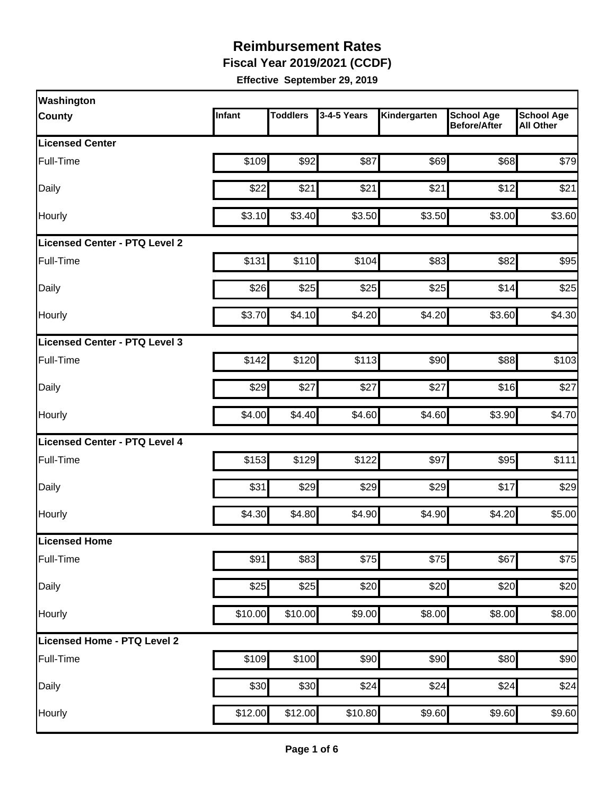**Fiscal Year 2019/2021 (CCDF)**

| Washington                    |         |                 |             |              |                                          |                                       |
|-------------------------------|---------|-----------------|-------------|--------------|------------------------------------------|---------------------------------------|
| <b>County</b>                 | Infant  | <b>Toddlers</b> | 3-4-5 Years | Kindergarten | <b>School Age</b><br><b>Before/After</b> | <b>School Age</b><br><b>All Other</b> |
| <b>Licensed Center</b>        |         |                 |             |              |                                          |                                       |
| Full-Time                     | \$109   | \$92            | \$87        | \$69         | \$68                                     | \$79                                  |
| Daily                         | \$22    | \$21            | \$21        | \$21         | \$12                                     | \$21                                  |
| Hourly                        | \$3.10  | \$3.40          | \$3.50      | \$3.50       | \$3.00                                   | \$3.60                                |
| Licensed Center - PTQ Level 2 |         |                 |             |              |                                          |                                       |
| Full-Time                     | \$131   | \$110           | \$104       | \$83         | \$82                                     | \$95                                  |
| Daily                         | \$26    | \$25            | \$25        | \$25         | \$14                                     | \$25                                  |
| Hourly                        | \$3.70  | \$4.10          | \$4.20      | \$4.20       | \$3.60                                   | \$4.30                                |
| Licensed Center - PTQ Level 3 |         |                 |             |              |                                          |                                       |
| Full-Time                     | \$142   | \$120           | \$113       | \$90         | \$88                                     | \$103                                 |
| Daily                         | \$29    | \$27            | \$27        | \$27         | \$16                                     | \$27                                  |
| Hourly                        | \$4.00  | \$4.40          | \$4.60      | \$4.60       | \$3.90                                   | \$4.70                                |
| Licensed Center - PTQ Level 4 |         |                 |             |              |                                          |                                       |
| Full-Time                     | \$153   | \$129           | \$122       | \$97         | \$95                                     | \$111                                 |
| Daily                         | \$31    | \$29            | \$29        | \$29         | \$17                                     | \$29                                  |
| Hourly                        | \$4.30  | \$4.80          | \$4.90      | \$4.90       | \$4.20                                   | \$5.00                                |
| Licensed Home                 |         |                 |             |              |                                          |                                       |
| Full-Time                     | \$91    | \$83            | \$75        | \$75         | \$67                                     | \$75                                  |
| Daily                         | \$25    | \$25            | \$20        | \$20         | \$20                                     | \$20                                  |
| Hourly                        | \$10.00 | \$10.00         | \$9.00      | \$8.00       | \$8.00                                   | \$8.00                                |
| Licensed Home - PTQ Level 2   |         |                 |             |              |                                          |                                       |
| Full-Time                     | \$109   | \$100           | \$90        | \$90         | \$80                                     | \$90                                  |
| Daily                         | \$30    | \$30            | \$24        | \$24         | \$24                                     | \$24                                  |
| Hourly                        | \$12.00 | \$12.00         | \$10.80     | \$9.60       | \$9.60                                   | \$9.60                                |
|                               |         |                 |             |              |                                          |                                       |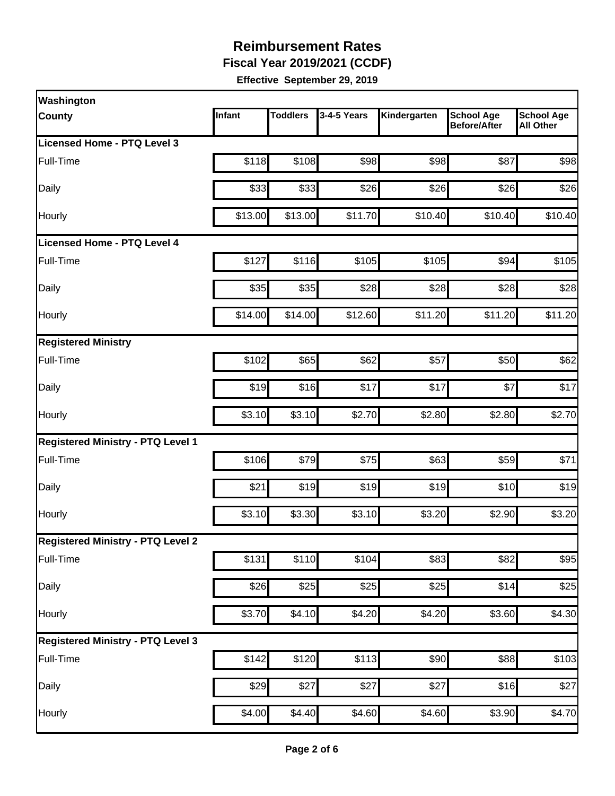**Fiscal Year 2019/2021 (CCDF)**

| Washington                               |         |                 |                  |              |                                          |                                       |
|------------------------------------------|---------|-----------------|------------------|--------------|------------------------------------------|---------------------------------------|
| <b>County</b>                            | Infant  | <b>Toddlers</b> | 3-4-5 Years      | Kindergarten | <b>School Age</b><br><b>Before/After</b> | <b>School Age</b><br><b>All Other</b> |
| <b>Licensed Home - PTQ Level 3</b>       |         |                 |                  |              |                                          |                                       |
| Full-Time                                | \$118   | \$108           | \$98             | \$98         | \$87                                     | \$98                                  |
| Daily                                    | \$33    | \$33            | \$26             | \$26         | \$26                                     | \$26                                  |
| Hourly                                   | \$13.00 | \$13.00         | \$11.70          | \$10.40      | \$10.40                                  | \$10.40                               |
| Licensed Home - PTQ Level 4              |         |                 |                  |              |                                          |                                       |
| Full-Time                                | \$127   | \$116           | \$105            | \$105        | \$94                                     | \$105                                 |
| Daily                                    | \$35    | \$35            | \$28             | \$28         | \$28                                     | \$28                                  |
| Hourly                                   | \$14.00 | \$14.00         | \$12.60          | \$11.20      | \$11.20                                  | \$11.20                               |
| <b>Registered Ministry</b>               |         |                 |                  |              |                                          |                                       |
| Full-Time                                | \$102   | \$65            | \$62             | \$57         | \$50                                     | \$62                                  |
| Daily                                    | \$19    | \$16            | \$17             | \$17         | \$7                                      | \$17                                  |
| Hourly                                   | \$3.10  | \$3.10          | \$2.70           | \$2.80       | \$2.80                                   | \$2.70                                |
| <b>Registered Ministry - PTQ Level 1</b> |         |                 |                  |              |                                          |                                       |
| Full-Time                                | \$106   | \$79            | \$75             | \$63         | \$59                                     | \$71                                  |
| Daily                                    | \$21    | \$19            | \$19             | \$19         | \$10                                     | \$19                                  |
| Hourly                                   | \$3.10  | \$3.30          | \$3.10           | \$3.20       | \$2.90                                   | \$3.20                                |
| <b>Registered Ministry - PTQ Level 2</b> |         |                 |                  |              |                                          |                                       |
| Full-Time                                | \$131   | \$110           | \$104            | \$83         | \$82                                     | \$95                                  |
| Daily                                    | \$26    | \$25            | $\overline{$}25$ | \$25         | \$14                                     | \$25                                  |
| Hourly                                   | \$3.70  | \$4.10          | \$4.20           | \$4.20       | \$3.60                                   | \$4.30                                |
| <b>Registered Ministry - PTQ Level 3</b> |         |                 |                  |              |                                          |                                       |
| Full-Time                                | \$142   | \$120           | \$113            | \$90         | \$88                                     | \$103                                 |
| Daily                                    | \$29    | \$27            | \$27             | \$27         | \$16                                     | \$27                                  |
| Hourly                                   | \$4.00  | \$4.40          | \$4.60           | \$4.60       | \$3.90                                   | \$4.70                                |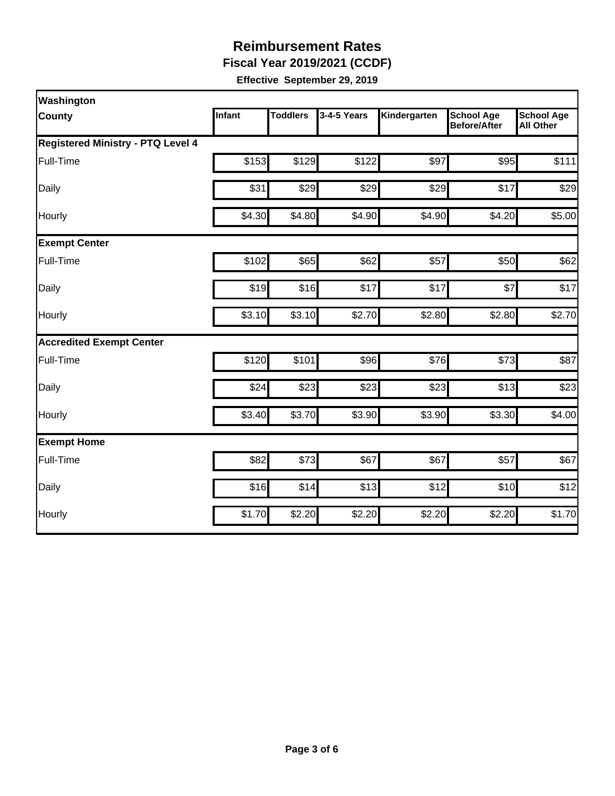**Fiscal Year 2019/2021 (CCDF)**

| Washington                               |        |                 |             |              |                                          |                                       |
|------------------------------------------|--------|-----------------|-------------|--------------|------------------------------------------|---------------------------------------|
| <b>County</b>                            | Infant | <b>Toddlers</b> | 3-4-5 Years | Kindergarten | <b>School Age</b><br><b>Before/After</b> | <b>School Age</b><br><b>All Other</b> |
| <b>Registered Ministry - PTQ Level 4</b> |        |                 |             |              |                                          |                                       |
| Full-Time                                | \$153  | \$129           | \$122       | \$97         | \$95                                     | \$111                                 |
| Daily                                    | \$31   | \$29            | \$29        | \$29         | \$17                                     | \$29                                  |
| Hourly                                   | \$4.30 | \$4.80          | \$4.90      | \$4.90       | \$4.20                                   | \$5.00                                |
| <b>Exempt Center</b>                     |        |                 |             |              |                                          |                                       |
| Full-Time                                | \$102  | \$65            | \$62        | \$57         | \$50                                     | \$62                                  |
| Daily                                    | \$19   | \$16            | \$17        | \$17         | \$7                                      | \$17                                  |
| Hourly                                   | \$3.10 | \$3.10          | \$2.70      | \$2.80       | \$2.80                                   | \$2.70                                |
| <b>Accredited Exempt Center</b>          |        |                 |             |              |                                          |                                       |
| Full-Time                                | \$120  | \$101           | \$96        | \$76         | \$73                                     | \$87                                  |
| Daily                                    | \$24   | \$23            | \$23        | \$23         | \$13                                     | \$23                                  |
| Hourly                                   | \$3.40 | \$3.70          | \$3.90      | \$3.90       | \$3.30                                   | \$4.00                                |
| <b>Exempt Home</b>                       |        |                 |             |              |                                          |                                       |
| Full-Time                                | \$82   | \$73            | \$67        | \$67         | \$57                                     | \$67                                  |
| Daily                                    | \$16   | \$14            | \$13        | \$12         | \$10                                     | \$12                                  |
| Hourly                                   | \$1.70 | \$2.20          | \$2.20      | \$2.20       | \$2.20                                   | \$1.70                                |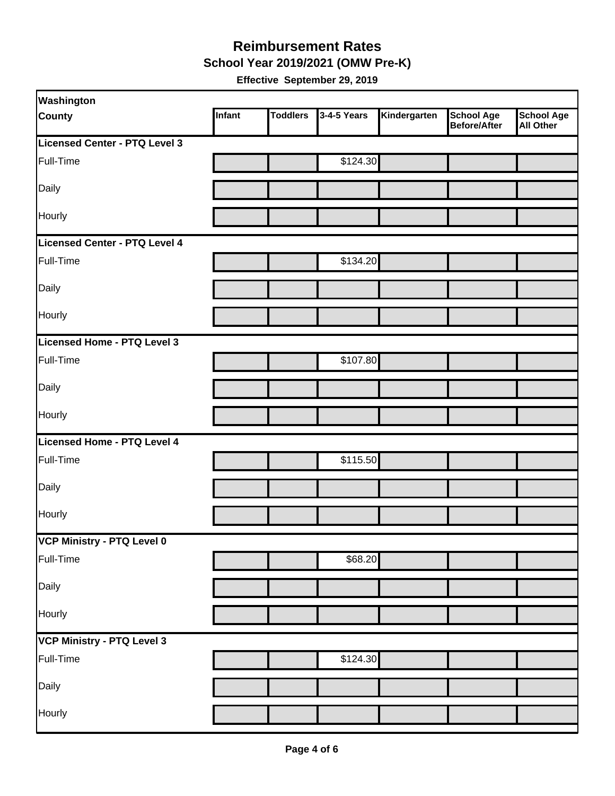#### **School Year 2019/2021 (OMW Pre-K) Reimbursement Rates**

| Washington                    |        |                 |             |              |                                          |                                       |
|-------------------------------|--------|-----------------|-------------|--------------|------------------------------------------|---------------------------------------|
| <b>County</b>                 | Infant | <b>Toddlers</b> | 3-4-5 Years | Kindergarten | <b>School Age</b><br><b>Before/After</b> | <b>School Age</b><br><b>All Other</b> |
| Licensed Center - PTQ Level 3 |        |                 |             |              |                                          |                                       |
| Full-Time                     |        |                 | \$124.30    |              |                                          |                                       |
| Daily                         |        |                 |             |              |                                          |                                       |
| Hourly                        |        |                 |             |              |                                          |                                       |
| Licensed Center - PTQ Level 4 |        |                 |             |              |                                          |                                       |
| Full-Time                     |        |                 | \$134.20    |              |                                          |                                       |
| Daily                         |        |                 |             |              |                                          |                                       |
| Hourly                        |        |                 |             |              |                                          |                                       |
| Licensed Home - PTQ Level 3   |        |                 |             |              |                                          |                                       |
| Full-Time                     |        |                 | \$107.80    |              |                                          |                                       |
| Daily                         |        |                 |             |              |                                          |                                       |
| <b>Hourly</b>                 |        |                 |             |              |                                          |                                       |
| Licensed Home - PTQ Level 4   |        |                 |             |              |                                          |                                       |
| Full-Time                     |        |                 | \$115.50    |              |                                          |                                       |
| Daily                         |        |                 |             |              |                                          |                                       |
| Hourly                        |        |                 |             |              |                                          |                                       |
| VCP Ministry - PTQ Level 0    |        |                 |             |              |                                          |                                       |
| Full-Time                     |        |                 | \$68.20     |              |                                          |                                       |
| Daily                         |        |                 |             |              |                                          |                                       |
| Hourly                        |        |                 |             |              |                                          |                                       |
| VCP Ministry - PTQ Level 3    |        |                 |             |              |                                          |                                       |
| Full-Time                     |        |                 | \$124.30    |              |                                          |                                       |
| Daily                         |        |                 |             |              |                                          |                                       |
| Hourly                        |        |                 |             |              |                                          |                                       |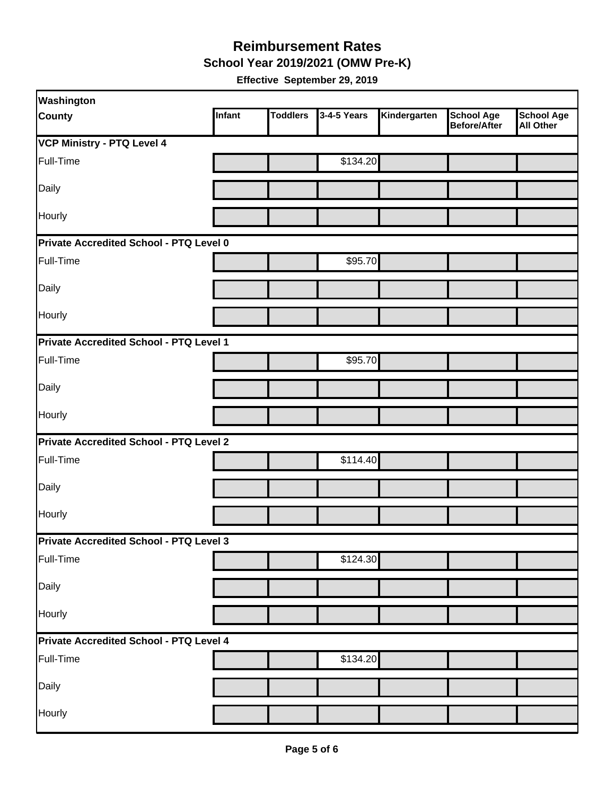**School Year 2019/2021 (OMW Pre-K)**

| Washington                                     |        |                 |             |              |                                          |                         |  |  |
|------------------------------------------------|--------|-----------------|-------------|--------------|------------------------------------------|-------------------------|--|--|
| <b>County</b>                                  | Infant | <b>Toddlers</b> | 3-4-5 Years | Kindergarten | <b>School Age</b><br><b>Before/After</b> | School Age<br>All Other |  |  |
| <b>VCP Ministry - PTQ Level 4</b>              |        |                 |             |              |                                          |                         |  |  |
| Full-Time                                      |        |                 | \$134.20    |              |                                          |                         |  |  |
| Daily                                          |        |                 |             |              |                                          |                         |  |  |
| Hourly                                         |        |                 |             |              |                                          |                         |  |  |
| Private Accredited School - PTQ Level 0        |        |                 |             |              |                                          |                         |  |  |
| Full-Time                                      |        |                 | \$95.70     |              |                                          |                         |  |  |
| Daily                                          |        |                 |             |              |                                          |                         |  |  |
| Hourly                                         |        |                 |             |              |                                          |                         |  |  |
| Private Accredited School - PTQ Level 1        |        |                 |             |              |                                          |                         |  |  |
| Full-Time                                      |        |                 | \$95.70     |              |                                          |                         |  |  |
| Daily                                          |        |                 |             |              |                                          |                         |  |  |
| Hourly                                         |        |                 |             |              |                                          |                         |  |  |
| Private Accredited School - PTQ Level 2        |        |                 |             |              |                                          |                         |  |  |
| Full-Time                                      |        |                 | \$114.40    |              |                                          |                         |  |  |
| Daily                                          |        |                 |             |              |                                          |                         |  |  |
| Hourly                                         |        |                 |             |              |                                          |                         |  |  |
| <b>Private Accredited School - PTQ Level 3</b> |        |                 |             |              |                                          |                         |  |  |
| Full-Time                                      |        |                 | \$124.30    |              |                                          |                         |  |  |
| Daily                                          |        |                 |             |              |                                          |                         |  |  |
| Hourly                                         |        |                 |             |              |                                          |                         |  |  |
| Private Accredited School - PTQ Level 4        |        |                 |             |              |                                          |                         |  |  |
| Full-Time                                      |        |                 | \$134.20    |              |                                          |                         |  |  |
| Daily                                          |        |                 |             |              |                                          |                         |  |  |
| Hourly                                         |        |                 |             |              |                                          |                         |  |  |